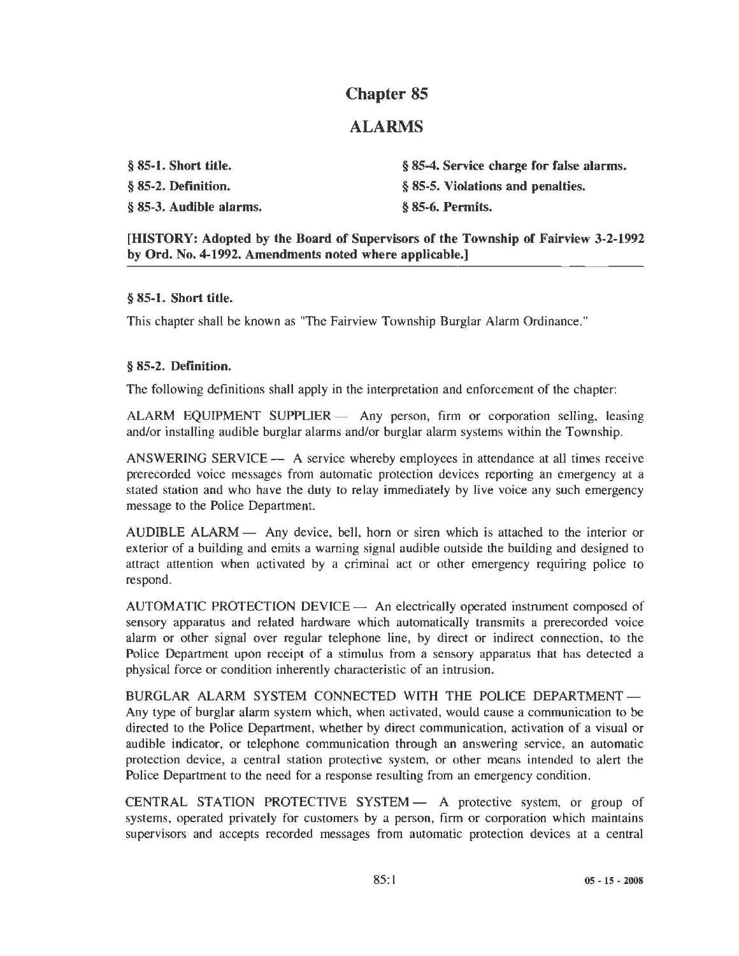# Chapter 85

## ALARMS

§ 85-1. Short title. § 85-2. Definition. § 85-3. Audible alarms. § 85-4. Service charge for false alarms. § 85-5. Violations and penalties. § 85-6. Permits.

[HISTORY: Adopted by the Board of Supervisors of the Township of Fairview 3-2-1992 by Ord. No. 4-1992. Amendments noted where applicable.]

#### § 85-1. Short title.

This chapter shall be known as "The Fairview Township Burglar Alarm Ordinance."

#### § 85-2. Definition.

The following definitions shall apply in the interpretation and enforcement of the chapter:

ALARM EQUIPMENT SUPPLIER - Any person, firm or corporation selling, leasing and/or installing audible burglar alarms and/or burglar alarm systems within the Township.

ANSWERING SERVICE — A service whereby employees in attendance at all times receive prerecorded voice messages from automatic protection devices reporting an emergency at a stated station and who have the duty to relay immediately by live voice any such emergency message to the Police Department.

AUDIBLE ALARM — Any device, bell, horn or siren which is attached to the interior or exterior of a building and emits a warning signal audible outside the building and designed to attract attention when activated by a criminal act or other emergency requiring police to respond.

 $AUTOMATIC PROTECTION DEVICE  $\longrightarrow$  An electrically operated instrument composed of$ sensory apparatus and related hardware which automatically transmits a prerecorded voice alarm or other signal over regular telephone line, by direct or indirect connection, to the Police Department upon receipt of a stimulus from a sensory apparatus that has detected a physical force or condition inherently characteristic of an intrusion.

BURGLAR ALARM SYSTEM CONNECTED WITH THE POLICE DEPARTMENT -Any type of burglar alarm system which, when activated, would cause a communication to be directed to the Police Department, whether by direct communication, activation of a visual or audible indicator, or telephone communication through an answering service, an automatic protection device, a central station protective system, or other means intended to alert the Police Department to the need for a response resulting from an emergency condition.

CENTRAL STATION PROTECTIVE SYSTEM - A protective system, or group of systems, operated privately for customers by a person, firm or corporation which maintains supervisors and accepts recorded messages from automatic protection devices at a central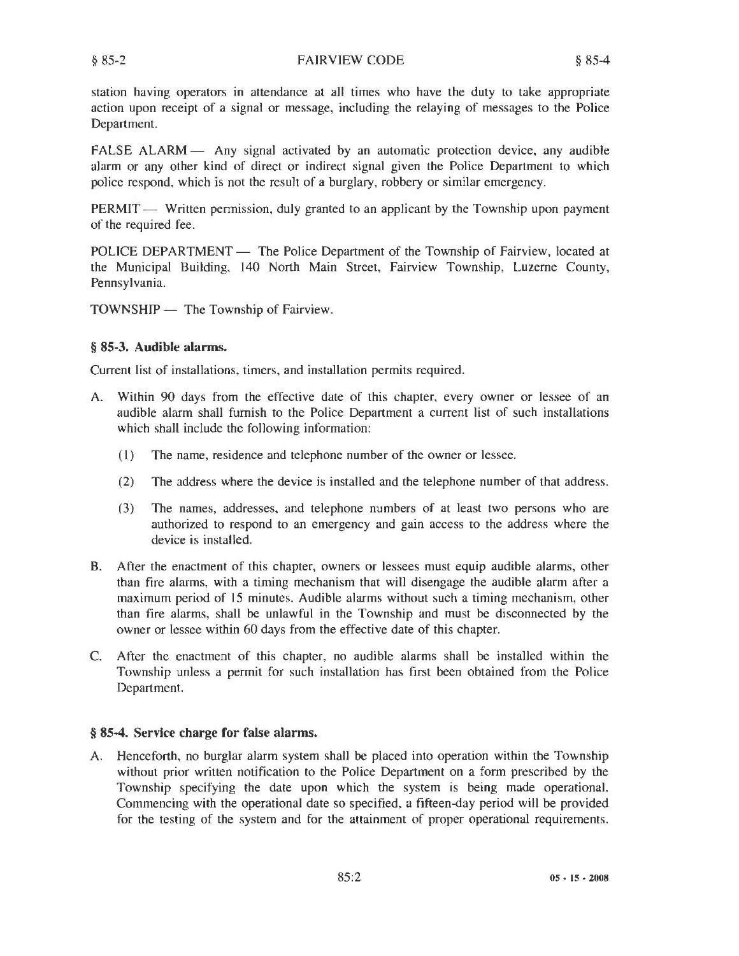FALSE ALARM - Any signal activated by an automatic protection device, any audible alarm or any other kind of direct or indirect signal given the Police Department to which police respond, which is not the result of a burglary, robbery or similar emergency.

 $PERMIT$  - Written permission, duly granted to an applicant by the Township upon payment of the required fee.

POLICE DEPARTMENT — The Police Department of the Township of Fairview, located at the Municipal Building, 140 North Main Street, Fairview Township, Luzerne County, Pennsylvania.

TOWNSHIP - The Township of Fairview.

## § 85-3. Audible alarms.

Current list of installations, timers, and installation permits required.

- A. Within 90 days from the effective date of this chapter, every owner or lessee of an audible alarm shall furnish to the Police Department a current list of such installations which shall include the following information:
	- (I) The name, residence and telephone number of the owner or lessee.
	- (2) The address where the device is installed and the telephone number of that address.
	- (3) The names, addresses, and telephone numbers of at least two persons who are authorized to respond to an emergency and gain access to the address where the device is installed.
- B. After the enactment of this chapter, owners or lessees must equip audible alarms, other than fire alarms, with a timing mechanism that will disengage the audible alarm after a maximum period of 15 minutes. Audible alarms without such a timing mechanism, other than fire alarms, shall be unlawful in the Township and must be disconnected by the owner or lessee within 60 days from the effective date of this chapter.
- C. After the enactment of this chapter, no audible alarms shall be installed within the Township unless a permit for such installation has first been obtained from the Police Department.

## § 85·4. Service charge for false alarms.

A. Henceforth, no burglar alarm system shall be placed into operation within the Township without prior written notification to the Police Department on a form prescribed by the Township specifying the date upon which the system is being made operational. Commencing with the operational date so specified, a fifteen-day period will be provided for the testing of the system and for the attainment of proper operational requirements.